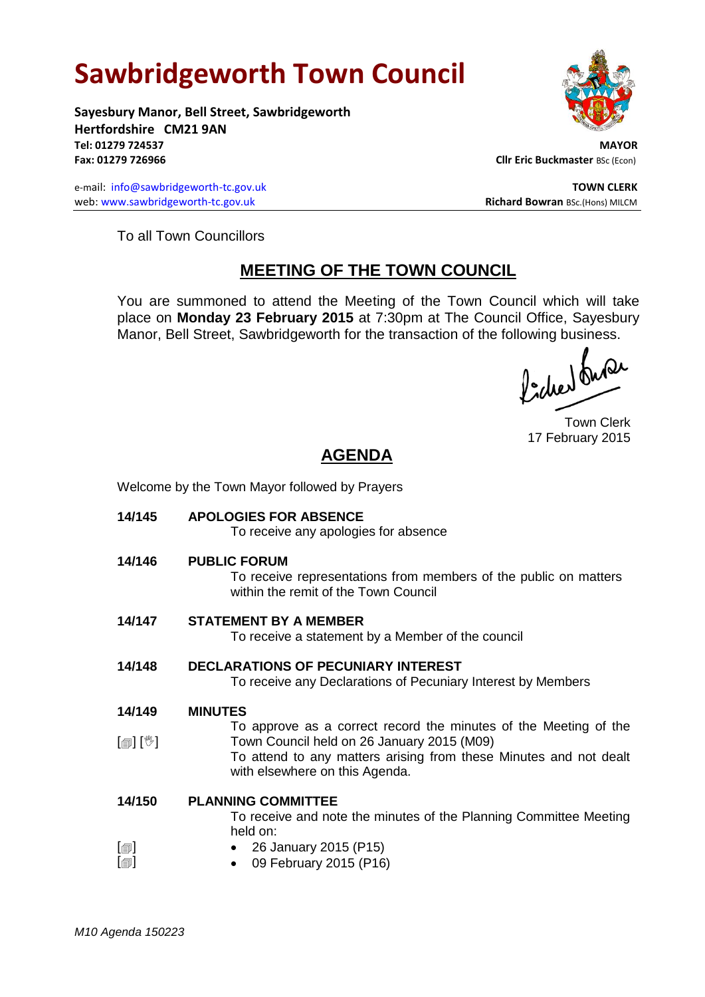## **Sawbridgeworth Town Council**

Welcome by the Town Mayor followed by Prayers

**Sayesbury Manor, Bell Street, Sawbridgeworth Hertfordshire CM21 9AN Tel: 01279 724537 MAYOR Fax: 01279 726966 Cllr Eric Buckmaster BSc (Econ)** 

e-mail: [info@sawbridgeworth-tc.gov.uk](mailto:info@sawbridgeworth-tc.gov.uk) **TOWN CLERK TOWN CLERK** web: www.sawbridgeworth-tc.gov.uk **Richard Bowran** BSc.(Hons) MILCM

To all Town Councillors

## **MEETING OF THE TOWN COUNCIL**

You are summoned to attend the Meeting of the Town Council which will take place on **Monday 23 February 2015** at 7:30pm at The Council Office, Sayesbury Manor, Bell Street, Sawbridgeworth for the transaction of the following business.<br>  $\int_1^{\infty} \int_0^{\infty} \sqrt{\int_0^{\infty}} \sqrt{\int_0^{\infty}} \sqrt{\int_0^{\infty}} \sqrt{\int_0^{\infty}} \sqrt{\int_0^{\infty}} \sqrt{\int_0^{\infty}} \sqrt{\int_0^{\infty}} \sqrt{\int_0^{\infty}} \sqrt{\int_0^{\infty}} \sqrt{\int_0^{\infty}} \sqrt{\int_0^{\in$ 

Town Clerk 17 February 2015

## **AGENDA**

| 14/145            | <b>APOLOGIES FOR ABSENCE</b><br>To receive any apologies for absence                                                                              |
|-------------------|---------------------------------------------------------------------------------------------------------------------------------------------------|
| 14/146            | <b>PUBLIC FORUM</b><br>To receive representations from members of the public on matters<br>within the remit of the Town Council                   |
| 14/147            | <b>STATEMENT BY A MEMBER</b><br>To receive a statement by a Member of the council                                                                 |
| 14/148            | <b>DECLARATIONS OF PECUNIARY INTEREST</b><br>To receive any Declarations of Pecuniary Interest by Members                                         |
| 14/149            | <b>MINUTES</b>                                                                                                                                    |
|                   | To approve as a correct record the minutes of the Meeting of the                                                                                  |
| [@] [V]           | Town Council held on 26 January 2015 (M09)<br>To attend to any matters arising from these Minutes and not dealt<br>with elsewhere on this Agenda. |
| 14/150            | <b>PLANNING COMMITTEE</b>                                                                                                                         |
|                   | To receive and note the minutes of the Planning Committee Meeting<br>held on:                                                                     |
| $\lceil$ $\oplus$ | • 26 January 2015 (P15)                                                                                                                           |
| $[\blacksquare]$  | 09 February 2015 (P16)                                                                                                                            |